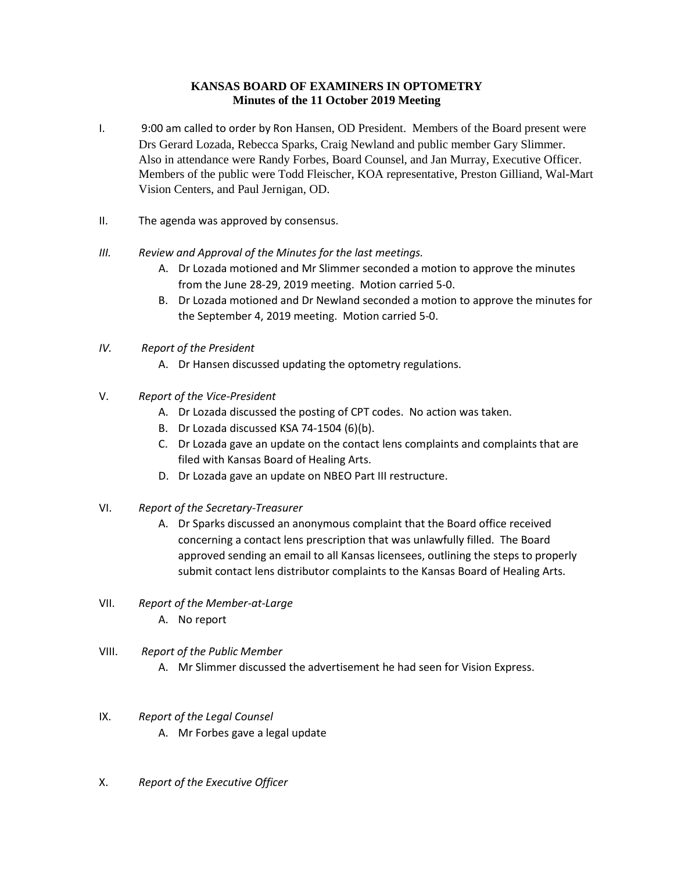### **KANSAS BOARD OF EXAMINERS IN OPTOMETRY Minutes of the 11 October 2019 Meeting**

- I. 9:00 am called to order by Ron Hansen, OD President. Members of the Board present were Drs Gerard Lozada, Rebecca Sparks, Craig Newland and public member Gary Slimmer. Also in attendance were Randy Forbes, Board Counsel, and Jan Murray, Executive Officer. Members of the public were Todd Fleischer, KOA representative, Preston Gilliand, Wal-Mart Vision Centers, and Paul Jernigan, OD.
- II. The agenda was approved by consensus.
- *III. Review and Approval of the Minutes for the last meetings.*
	- A. Dr Lozada motioned and Mr Slimmer seconded a motion to approve the minutes from the June 28-29, 2019 meeting. Motion carried 5-0.
	- B. Dr Lozada motioned and Dr Newland seconded a motion to approve the minutes for the September 4, 2019 meeting. Motion carried 5-0.
- *IV. Report of the President*
	- A. Dr Hansen discussed updating the optometry regulations.
- V. *Report of the Vice-President* 
	- A. Dr Lozada discussed the posting of CPT codes. No action was taken.
	- B. Dr Lozada discussed KSA 74-1504 (6)(b).
	- C. Dr Lozada gave an update on the contact lens complaints and complaints that are filed with Kansas Board of Healing Arts.
	- D. Dr Lozada gave an update on NBEO Part III restructure.
- VI. *Report of the Secretary-Treasurer*
	- A. Dr Sparks discussed an anonymous complaint that the Board office received concerning a contact lens prescription that was unlawfully filled. The Board approved sending an email to all Kansas licensees, outlining the steps to properly submit contact lens distributor complaints to the Kansas Board of Healing Arts.
- VII. *Report of the Member-at-Large* A. No report
- VIII. *Report of the Public Member* A. Mr Slimmer discussed the advertisement he had seen for Vision Express.
- IX. *Report of the Legal Counsel* A. Mr Forbes gave a legal update
- X. *Report of the Executive Officer*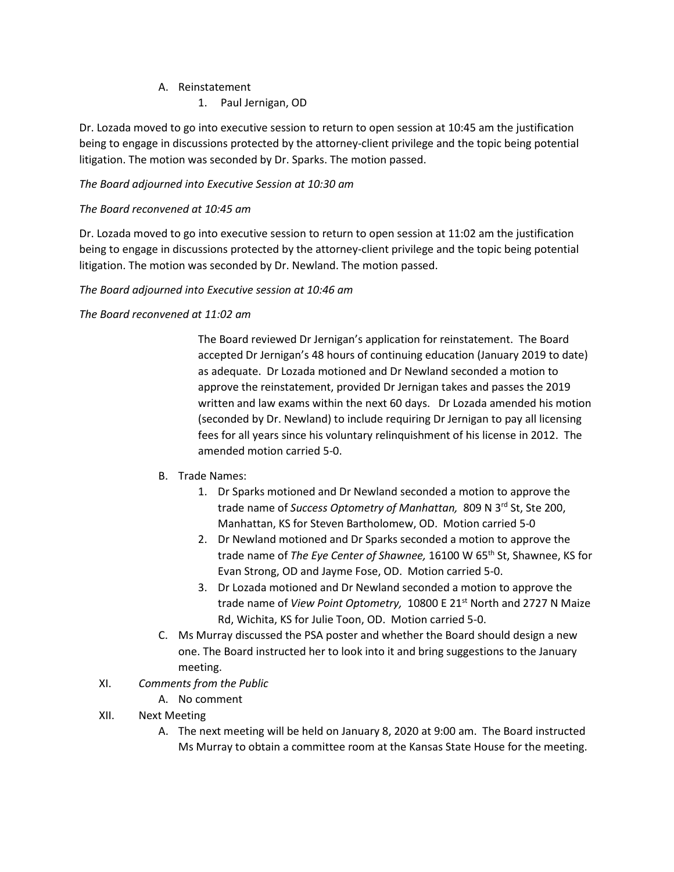### A. Reinstatement

# 1. Paul Jernigan, OD

Dr. Lozada moved to go into executive session to return to open session at 10:45 am the justification being to engage in discussions protected by the attorney-client privilege and the topic being potential litigation. The motion was seconded by Dr. Sparks. The motion passed.

# *The Board adjourned into Executive Session at 10:30 am*

### *The Board reconvened at 10:45 am*

Dr. Lozada moved to go into executive session to return to open session at 11:02 am the justification being to engage in discussions protected by the attorney-client privilege and the topic being potential litigation. The motion was seconded by Dr. Newland. The motion passed.

#### *The Board adjourned into Executive session at 10:46 am*

### *The Board reconvened at 11:02 am*

The Board reviewed Dr Jernigan's application for reinstatement. The Board accepted Dr Jernigan's 48 hours of continuing education (January 2019 to date) as adequate. Dr Lozada motioned and Dr Newland seconded a motion to approve the reinstatement, provided Dr Jernigan takes and passes the 2019 written and law exams within the next 60 days. Dr Lozada amended his motion (seconded by Dr. Newland) to include requiring Dr Jernigan to pay all licensing fees for all years since his voluntary relinquishment of his license in 2012. The amended motion carried 5-0.

# B. Trade Names:

- 1. Dr Sparks motioned and Dr Newland seconded a motion to approve the trade name of *Success Optometry of Manhattan,* 809 N 3rd St, Ste 200, Manhattan, KS for Steven Bartholomew, OD. Motion carried 5-0
- 2. Dr Newland motioned and Dr Sparks seconded a motion to approve the trade name of *The Eye Center of Shawnee,* 16100 W 65th St, Shawnee, KS for Evan Strong, OD and Jayme Fose, OD. Motion carried 5-0.
- 3. Dr Lozada motioned and Dr Newland seconded a motion to approve the trade name of *View Point Optometry,* 10800 E 21st North and 2727 N Maize Rd, Wichita, KS for Julie Toon, OD. Motion carried 5-0.
- C. Ms Murray discussed the PSA poster and whether the Board should design a new one. The Board instructed her to look into it and bring suggestions to the January meeting.

# XI. *Comments from the Public*

A. No comment

# XII. Next Meeting

A. The next meeting will be held on January 8, 2020 at 9:00 am. The Board instructed Ms Murray to obtain a committee room at the Kansas State House for the meeting.